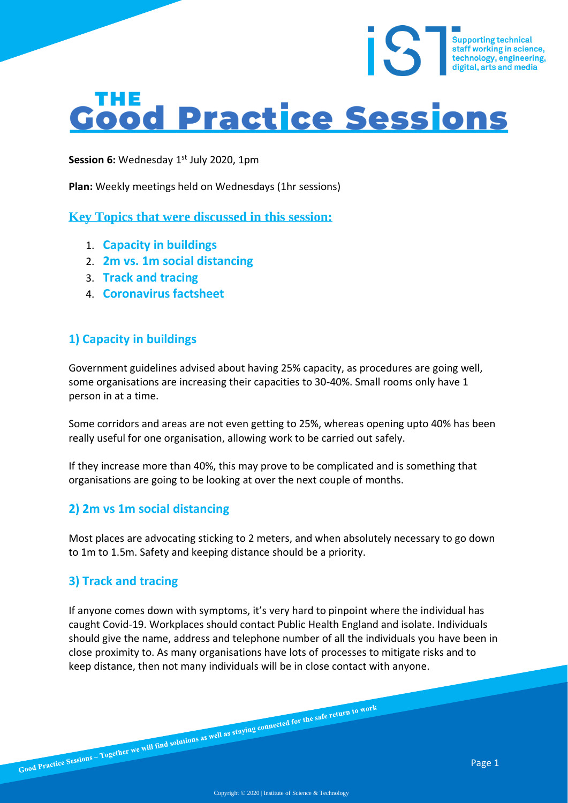# **Good Practice Sessions**

Session 6: Wednesday 1<sup>st</sup> July 2020, 1pm

**Plan:** Weekly meetings held on Wednesdays (1hr sessions)

**Key Topics that were discussed in this session:**

- 1. **Capacity in buildings**
- 2. **2m vs. 1m social distancing**
- 3. **Track and tracing**
- 4. **Coronavirus factsheet**

## **1) Capacity in buildings**

Government guidelines advised about having 25% capacity, as procedures are going well, some organisations are increasing their capacities to 30-40%. Small rooms only have 1 person in at a time.

Some corridors and areas are not even getting to 25%, whereas opening upto 40% has been really useful for one organisation, allowing work to be carried out safely.

If they increase more than 40%, this may prove to be complicated and is something that organisations are going to be looking at over the next couple of months.

## **2) 2m vs 1m social distancing**

Most places are advocating sticking to 2 meters, and when absolutely necessary to go down to 1m to 1.5m. Safety and keeping distance should be a priority.

## **3) Track and tracing**

If anyone comes down with symptoms, it's very hard to pinpoint where the individual has caught Covid-19. Workplaces should contact Public Health England and isolate. Individuals should give the name, address and telephone number of all the individuals you have been in close proximity to. As many organisations have lots of processes to mitigate risks and to keep distance, then not many individuals will be in close contact with anyone.

Supporting technical<br>staff working in science,<br>technology, engineering,<br>digital, arts and media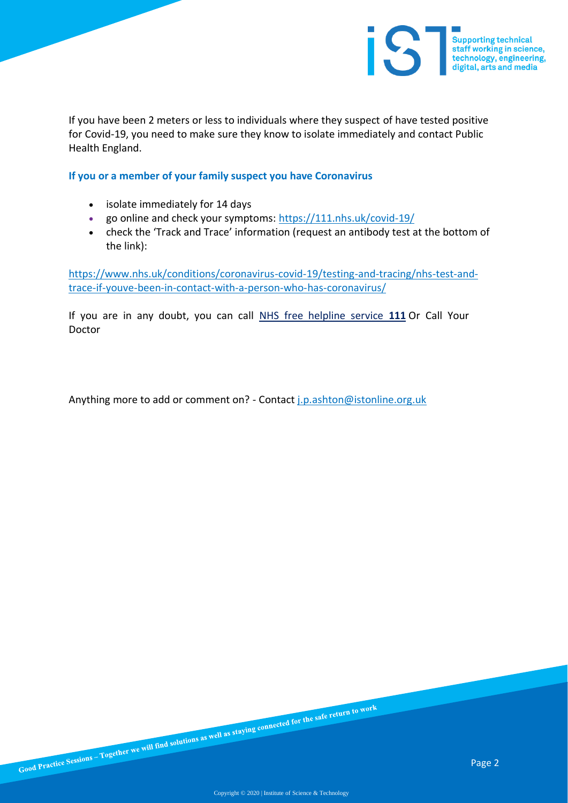

If you have been 2 meters or less to individuals where they suspect of have tested positive for Covid-19, you need to make sure they know to isolate immediately and contact Public Health England.

**If you or a member of your family suspect you have Coronavirus**

- isolate immediately for 14 days
- go online and check your symptoms: https://111.nhs.uk/covid-19/
- check the 'Track and Trace' information (request an antibody test at the bottom of the link):

https://www.nhs.uk/conditions/coronavirus-covid-19/testing-and-tracing/nhs-test-andtrace-if-youve-been-in-contact-with-a-person-who-has-coronavirus/

If you are in any doubt, you can call NHS free helpline service **111** Or Call Your Doctor

Anything more to add or comment on? - Contact *j.p.ashton@istonline.org.uk*